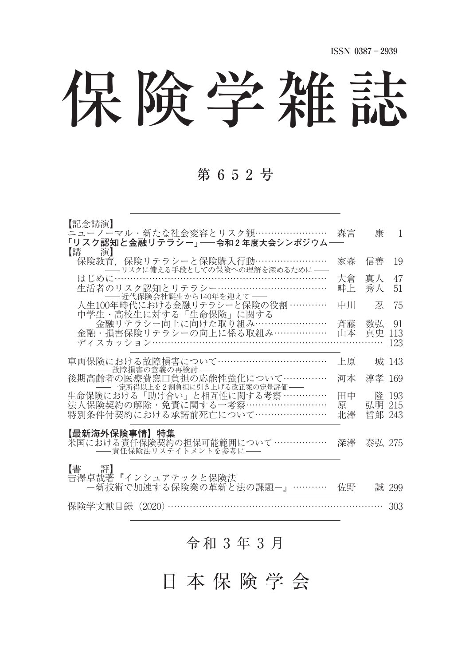保険学雑誌

### 第 6 5 2 号

| 【記念講演】                                                                                                                          |               |                  |                  |
|---------------------------------------------------------------------------------------------------------------------------------|---------------|------------------|------------------|
| ニューノーマル・新たな社会変容とリスク観……………………<br>「リスク認知と金融リテラシー」——令和2年度大会シンポジウム—                                                                 | 森宮            | 康                | -1               |
| 【講<br>演】<br>保険教育.保険リテラシーと保険購入行動……………………<br>- リスクに備える手段としての保険への理解を深めるために––                                                       | 家森            | 信善               | 19               |
| はじめに……<br>生活者のリスク認知とリテラシー……………………………<br>-- 近代保険会社誕生から140年を迎えて --                                                                | 大倉<br>畔上      | 真人<br>秀人         | 47<br>51         |
| 人生100年時代における金融リテラシーと保険の役割…………<br>中学生・高校生に対する「生命保険」に関する                                                                          | 中川            | 忍                | 75               |
| 金融リテラシー向上に向けた取り組み……………………<br>金融・損害保険リテラシーの向上に係る取組み………………                                                                        | 斉藤<br>山本      | 数弘<br>真史         | 91<br>113<br>123 |
| 車両保険における故障損害について……………………………<br>――故障損害の意義の再検討――                                                                                  | 上原            |                  | 城 143            |
| 後期高齢者の医療費窓口負担の応能性強化について…………                                                                                                     | 河本            | 淳孝               | -169             |
| - 一定所得以上を2割負担に引き上げる改正案の定量評価 --<br>生命保険における「助け合い」と相互性に関する考察 ……………<br>法人保険契約の解除・免責に関する一考察………………………<br>特別条件付契約における承諾前死亡について………………… | 田中<br>原<br>北澤 | 弘明 215<br>哲郎 243 | 降 193            |
| 【最新海外保険事情】特集<br>米国における責任保険契約の担保可能範囲について ………………<br>── 責任保険法リステイトメントを参考に ──                                                       | 深澤            | 泰弘 275           |                  |
| 【書】<br>評】<br>吉澤卓哉著『インシュアテックと保険法<br>-新技術で加速する保険業の革新と法の課題-』…………                                                                   | 佐野            |                  | 誠 299            |
| 保険学文献目録(2020)                                                                                                                   |               |                  | 303              |

## 令和 3 年 3 月

日 本 保 険 学 会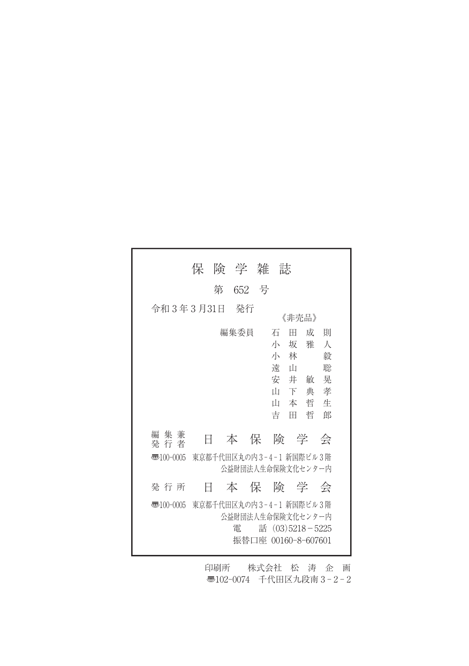|                | 保 |   | 険 学 雑                                                                    |           | 誌                                    |                                                 |                            |                                      |  |
|----------------|---|---|--------------------------------------------------------------------------|-----------|--------------------------------------|-------------------------------------------------|----------------------------|--------------------------------------|--|
|                |   | 第 | 652 号                                                                    |           |                                      |                                                 |                            |                                      |  |
| 令和 3年 3月31日    |   |   | 発行                                                                       |           |                                      | 《非壳品》                                           |                            |                                      |  |
|                |   |   | 編集委員                                                                     |           | 石<br>小<br>小<br>遠<br>安<br>Щ<br>Ш<br>吉 | Ħ<br>坂<br>林<br>$\mathbb{L}$<br>井<br>下<br>本<br>Ħ | 成<br>雅<br>敏<br>典<br>哲<br>哲 | 則<br>А<br>毅<br>聡<br>晃<br>孝<br>牛<br>郎 |  |
| 編 集 兼<br>発 行 者 | E |   | 本                                                                        | くらん 保り険の学 |                                      |                                                 |                            | 会                                    |  |
| 雨100-0005      |   |   | 東京都千代田区丸の内3-4-1 新国際ビル3階<br>公益財団法人生命保険文化センター内                             |           |                                      |                                                 |                            |                                      |  |
| 発 行 所          | E |   | 本は保険の学                                                                   |           |                                      |                                                 |                            | 会                                    |  |
| 壺100-0005      |   |   | 東京都千代田区丸の内3-4-1 新国際ビル3階<br>公益財団法人生命保険文化センター内<br>雷<br>振替口座 00160-8-607601 |           | 話 (03)5218-5225                      |                                                 |                            |                                      |  |

印刷所 株式会社 松 涛 企 画 〠102-0074 千代田区九段南 3 - 2 - 2